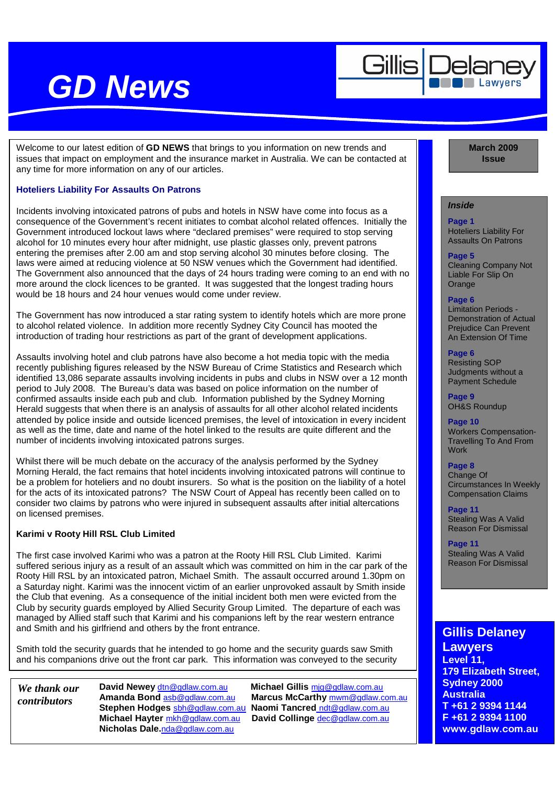Gillis

Welcome to our latest edition of **GD NEWS** that brings to you information on new trends and issues that impact on employment and the insurance market in Australia. We can be contacted at any time for more information on any of our articles.

#### **Hoteliers Liability For Assaults On Patrons**

Incidents involving intoxicated patrons of pubs and hotels in NSW have come into focus as a consequence of the Government's recent initiates to combat alcohol related offences. Initially the Government introduced lockout laws where "declared premises" were required to stop serving alcohol for 10 minutes every hour after midnight, use plastic glasses only, prevent patrons entering the premises after 2.00 am and stop serving alcohol 30 minutes before closing. The laws were aimed at reducing violence at 50 NSW venues which the Government had identified. The Government also announced that the days of 24 hours trading were coming to an end with no more around the clock licences to be granted. It was suggested that the longest trading hours would be 18 hours and 24 hour venues would come under review.

The Government has now introduced a star rating system to identify hotels which are more prone to alcohol related violence. In addition more recently Sydney City Council has mooted the introduction of trading hour restrictions as part of the grant of development applications.

Assaults involving hotel and club patrons have also become a hot media topic with the media recently publishing figures released by the NSW Bureau of Crime Statistics and Research which identified 13,086 separate assaults involving incidents in pubs and clubs in NSW over a 12 month period to July 2008. The Bureau's data was based on police information on the number of confirmed assaults inside each pub and club. Information published by the Sydney Morning Herald suggests that when there is an analysis of assaults for all other alcohol related incidents attended by police inside and outside licenced premises, the level of intoxication in every incident as well as the time, date and name of the hotel linked to the results are quite different and the number of incidents involving intoxicated patrons surges.

Whilst there will be much debate on the accuracy of the analysis performed by the Sydney Morning Herald, the fact remains that hotel incidents involving intoxicated patrons will continue to be a problem for hoteliers and no doubt insurers. So what is the position on the liability of a hotel for the acts of its intoxicated patrons? The NSW Court of Appeal has recently been called on to consider two claims by patrons who were injured in subsequent assaults after initial altercations on licensed premises.

#### **Karimi v Rooty Hill RSL Club Limited**

The first case involved Karimi who was a patron at the Rooty Hill RSL Club Limited. Karimi suffered serious injury as a result of an assault which was committed on him in the car park of the Rooty Hill RSL by an intoxicated patron, Michael Smith. The assault occurred around 1.30pm on a Saturday night. Karimi was the innocent victim of an earlier unprovoked assault by Smith inside the Club that evening. As a consequence of the initial incident both men were evicted from the Club by security guards employed by Allied Security Group Limited. The departure of each was managed by Allied staff such that Karimi and his companions left by the rear western entrance and Smith and his girlfriend and others by the front entrance.

Smith told the security guards that he intended to go home and the security guards saw Smith and his companions drive out the front car park. This information was conveyed to the security

*We thank our contributors* 

**Stephen Hodges** sbh@gdlaw.com.au **Naomi Tancred** ndt@gdlaw.com.au **Michael Hayter** mkh@gdlaw.com.au **Nicholas Dale.**nda@gdlaw.com.au

**David Newey** dtn@gdlaw.com.au **Michael Gillis** mjg@gdlaw.com.au **Amanda Bond** asb@gdlaw.com.au **Marcus McCarthy** mwm@gdlaw.com.au

### **March 2009 Issue**

#### **Inside**

**Page 1**  Hoteliers Liability For Assaults On Patrons

#### **Page 5**

Cleaning Company Not Liable For Slip On **Orange** 

#### **Page 6**

Limitation Periods - Demonstration of Actual Prejudice Can Prevent An Extension Of Time

### **Page 6**

Resisting SOP Judgments without a Payment Schedule

**Page 9**  OH&S Roundup

**Page 10**  Workers Compensation-Travelling To And From

### **Work Page 8**

Change Of Circumstances In Weekly Compensation Claims

**Page 11**  Stealing Was A Valid Reason For Dismissal

**Page 11**  Stealing Was A Valid Reason For Dismissal

### **Gillis Delaney**

**Lawyers Level 11, 179 Elizabeth Street, Sydney 2000 Australia T +61 2 9394 1144 F +61 2 9394 1100 www.gdlaw.com.au**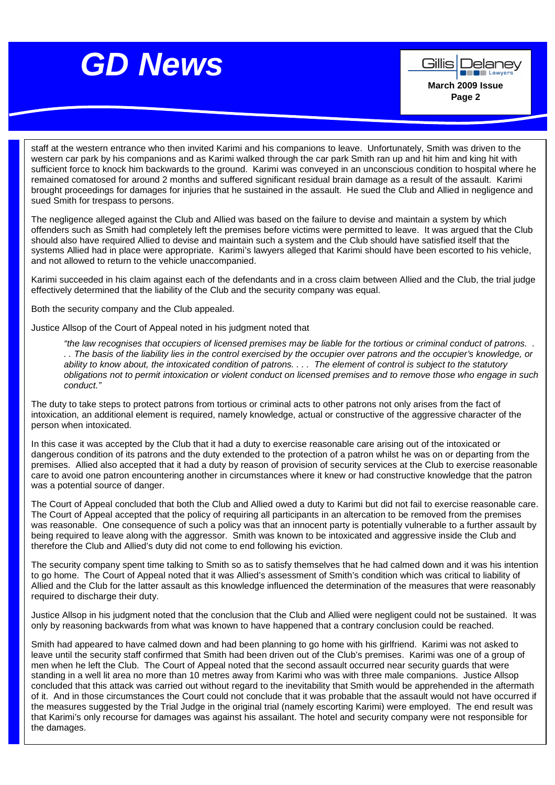

**Company Lawyer March 2009 Issue Page 2** 

Gillis | Delanev

staff at the western entrance who then invited Karimi and his companions to leave. Unfortunately, Smith was driven to the western car park by his companions and as Karimi walked through the car park Smith ran up and hit him and king hit with sufficient force to knock him backwards to the ground. Karimi was conveyed in an unconscious condition to hospital where he remained comatosed for around 2 months and suffered significant residual brain damage as a result of the assault. Karimi brought proceedings for damages for injuries that he sustained in the assault. He sued the Club and Allied in negligence and sued Smith for trespass to persons.

The negligence alleged against the Club and Allied was based on the failure to devise and maintain a system by which offenders such as Smith had completely left the premises before victims were permitted to leave. It was argued that the Club should also have required Allied to devise and maintain such a system and the Club should have satisfied itself that the systems Allied had in place were appropriate. Karimi's lawyers alleged that Karimi should have been escorted to his vehicle,<br>and net allowed to rature to the vehicle unaccomposited. and not allowed to return to the vehicle unaccompanied.

Karimi succeeded in his claim against each of the defendants and in a cross claim between Allied and the Club, the trial judge E effectively determined that the liability of the Club and the security company was equal.  $d = \frac{1}{2}$ 

Both the security company and the Club appealed.

Justice Allsop of the Court of Appeal noted in his judgment noted that

"the law recognises that occupiers of licensed premises may be liable for the tortious or criminal conduct of patrons. . . . The basis of the liability lies in the control exercised by the occupier over patrons and the occupier's knowledge, or ability to know about, the intoxicated condition of patrons. . . . The element of control is subject to the statutory obligations not to permit intoxication or violent conduct on licensed premises and to remove those who engage in such conduct."

The duty to take steps to protect patrons from tortious or criminal acts to other patrons not only arises from the fact of intoxication, an additional element is required, namely knowledge, actual or constructive of the aggressive character of the person when intoxicated.

In this case it was accepted by the Club that it had a duty to exercise reasonable care arising out of the intoxicated or dangerous condition of its patrons and the duty extended to the protection of a patron whilst he was on or departing from the premises. Allied also accepted that it had a duty by reason of provision of security services at the Club to exercise reasonable care to avoid one patron encountering another in circumstances where it knew or had constructive knowledge that the patron was a potential source of danger.

The Court of Appeal concluded that both the Club and Allied owed a duty to Karimi but did not fail to exercise reasonable care. The Court of Appeal accepted that the policy of requiring all participants in an altercation to be removed from the premises was reasonable. One consequence of such a policy was that an innocent party is potentially vulnerable to a further assault by being required to leave along with the aggressor. Smith was known to be intoxicated and aggressive inside the Club and therefore the Club and Allied's duty did not come to end following his eviction.

The security company spent time talking to Smith so as to satisfy themselves that he had calmed down and it was his intention to go home. The Court of Appeal noted that it was Allied's assessment of Smith's condition which was critical to liability of Allied and the Club for the latter assault as this knowledge influenced the determination of the measures that were reasonably required to discharge their duty.

Justice Allsop in his judgment noted that the conclusion that the Club and Allied were negligent could not be sustained. It was only by reasoning backwards from what was known to have happened that a contrary conclusion could be reached.

Smith had appeared to have calmed down and had been planning to go home with his girlfriend. Karimi was not asked to leave until the security staff confirmed that Smith had been driven out of the Club's premises. Karimi was one of a group of men when he left the Club. The Court of Appeal noted that the second assault occurred near security guards that were standing in a well lit area no more than 10 metres away from Karimi who was with three male companions. Justice Allsop concluded that this attack was carried out without regard to the inevitability that Smith would be apprehended in the aftermath of it. And in those circumstances the Court could not conclude that it was probable that the assault would not have occurred if the measures suggested by the Trial Judge in the original trial (namely escorting Karimi) were employed. The end result was that Karimi's only recourse for damages was against his assailant. The hotel and security company were not responsible for the damages.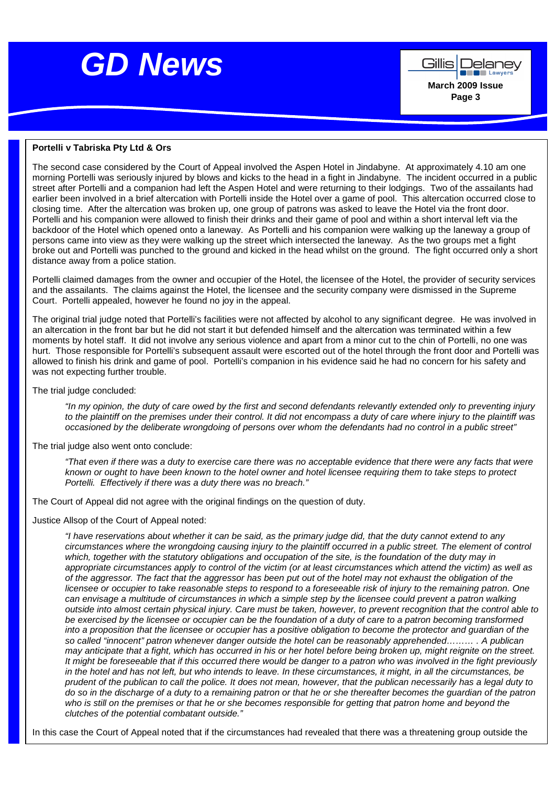

**Company Lawyer March 2009 Issue Page 3** 

Gillis | Delanev

#### **Portelli v Tabriska Pty Ltd & Ors**

The second case considered by the Court of Appeal involved the Aspen Hotel in Jindabyne. At approximately 4.10 am one morning Portelli was seriously injured by blows and kicks to the head in a fight in Jindabyne. The incident occurred in a public street after Portelli and a companion had left the Aspen Hotel and were returning to their lodgings. Two of the assailants had earlier been involved in a brief altercation with Portelli inside the Hotel over a game of pool. This altercation occurred close to closing time. After the altercation was broken up, one group of patrons was asked to leave the Hotel via the front door. Portelli and his companion were allowed to finish their drinks and their game of pool and within a short interval left via the backdoor of the Hotel which opened onto a laneway. As Portelli and his companion were walking up the laneway a group of persons came into view as they were walking up the street which intersected the laneway. As the two groups met a fight broke out and Portelli was punched to the ground and kicked in the head whilst on the ground. The fight occurred only a short distance away from a police station.

<u>news and the second second</u>

Portelli claimed damages from the owner and occupier of the Hotel, the licensee of the Hotel, the provider of security services and the assailants. The claims against the Hotel, the licensee and the security company were dismissed in the Supreme Court. Portelli appealed, however he found no joy in the appeal.

The original trial judge noted that Portelli's facilities were not affected by alcohol to any significant degree. He was involved in an altercation in the front bar but he did not start it but defended himself and the altercation was terminated within a few moments by hotel staff. It did not involve any serious violence and apart from a minor cut to the chin of Portelli, no one was hurt. Those responsible for Portelli's subsequent assault were escorted out of the hotel through the front door and Portelli was allowed to finish his drink and game of pool. Portelli's companion in his evidence said he had no concern for his safety and was not expecting further trouble.

The trial judge concluded:

"In my opinion, the duty of care owed by the first and second defendants relevantly extended only to preventing injury to the plaintiff on the premises under their control. It did not encompass a duty of care where injury to the plaintiff was occasioned by the deliberate wrongdoing of persons over whom the defendants had no control in a public street"

The trial judge also went onto conclude:

"That even if there was a duty to exercise care there was no acceptable evidence that there were any facts that were known or ought to have been known to the hotel owner and hotel licensee requiring them to take steps to protect Portelli. Effectively if there was a duty there was no breach."

The Court of Appeal did not agree with the original findings on the question of duty.

Justice Allsop of the Court of Appeal noted:

"I have reservations about whether it can be said, as the primary judge did, that the duty cannot extend to any circumstances where the wrongdoing causing injury to the plaintiff occurred in a public street. The element of control which, together with the statutory obligations and occupation of the site, is the foundation of the duty may in appropriate circumstances apply to control of the victim (or at least circumstances which attend the victim) as well as of the aggressor. The fact that the aggressor has been put out of the hotel may not exhaust the obligation of the licensee or occupier to take reasonable steps to respond to a foreseeable risk of injury to the remaining patron. One can envisage a multitude of circumstances in which a simple step by the licensee could prevent a patron walking outside into almost certain physical injury. Care must be taken, however, to prevent recognition that the control able to be exercised by the licensee or occupier can be the foundation of a duty of care to a patron becoming transformed into a proposition that the licensee or occupier has a positive obligation to become the protector and guardian of the so called "innocent" patron whenever danger outside the hotel can be reasonably apprehended……… . A publican may anticipate that a fight, which has occurred in his or her hotel before being broken up, might reignite on the street. It might be foreseeable that if this occurred there would be danger to a patron who was involved in the fight previously in the hotel and has not left, but who intends to leave. In these circumstances, it might, in all the circumstances, be prudent of the publican to call the police. It does not mean, however, that the publican necessarily has a legal duty to do so in the discharge of a duty to a remaining patron or that he or she thereafter becomes the guardian of the patron who is still on the premises or that he or she becomes responsible for getting that patron home and beyond the clutches of the potential combatant outside."

In this case the Court of Appeal noted that if the circumstances had revealed that there was a threatening group outside the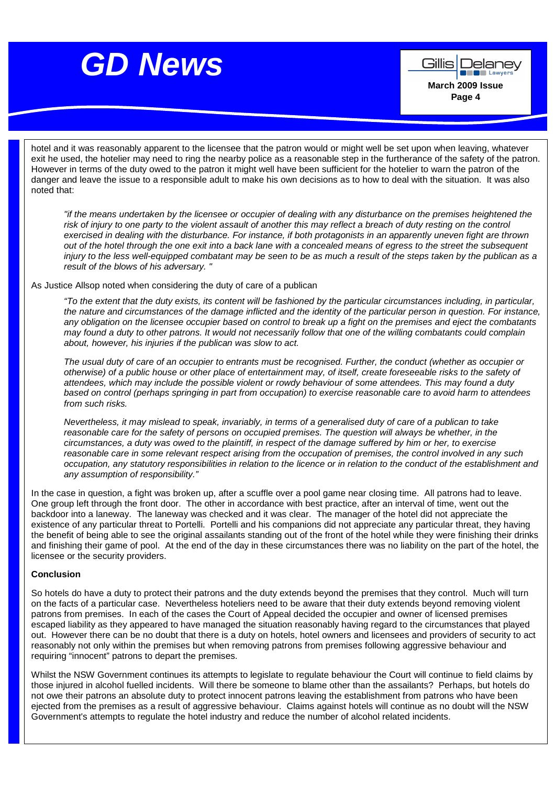<u>g News Andrew State</u>

**Company Lawyer March 2009 Issue Page 4** 

Gillis | Delanev

hotel and it was reasonably apparent to the licensee that the patron would or might well be set upon when leaving, whatever exit he used, the hotelier may need to ring the nearby police as a reasonable step in the furtherance of the safety of the patron. However in terms of the duty owed to the patron it might well have been sufficient for the hotelier to warn the patron of the danger and leave the issue to a responsible adult to make his own decisions as to how to deal with the situation. It was also noted that:

"if the means undertaken by the licensee or occupier of dealing with any disturbance on the premises heightened the risk of injury to one party to the violent assault of another this may reflect a breach of duty resting on the control exercised in dealing with the disturbance. For instance, if both protagonists in an apparently uneven fight are thrown out of the hotel through the one exit into a back lane with a concealed means of egress to the street the subsequent injury to the less well-equipped combatant may be seen to be as much a result of the steps taken by the publican as a result of the blows of his adversary. "

As Justice Allsop noted when considering the duty of care of a publican

"To the extent that the duty exists, its content will be fashioned by the particular circumstances including, in particular, the nature and circumstances of the damage inflicted and the identity of the particular person in question. For instance, any obligation on the licensee occupier based on control to break up a fight on the premises and eject the combatants may found a duty to other patrons. It would not necessarily follow that one of the willing combatants could complain about, however, his injuries if the publican was slow to act.

The usual duty of care of an occupier to entrants must be recognised. Further, the conduct (whether as occupier or otherwise) of a public house or other place of entertainment may, of itself, create foreseeable risks to the safety of attendees, which may include the possible violent or rowdy behaviour of some attendees. This may found a duty based on control (perhaps springing in part from occupation) to exercise reasonable care to avoid harm to attendees from such risks.

Nevertheless, it may mislead to speak, invariably, in terms of a generalised duty of care of a publican to take reasonable care for the safety of persons on occupied premises. The question will always be whether, in the circumstances, a duty was owed to the plaintiff, in respect of the damage suffered by him or her, to exercise reasonable care in some relevant respect arising from the occupation of premises, the control involved in any such occupation, any statutory responsibilities in relation to the licence or in relation to the conduct of the establishment and any assumption of responsibility."

In the case in question, a fight was broken up, after a scuffle over a pool game near closing time. All patrons had to leave. One group left through the front door. The other in accordance with best practice, after an interval of time, went out the backdoor into a laneway. The laneway was checked and it was clear. The manager of the hotel did not appreciate the existence of any particular threat to Portelli. Portelli and his companions did not appreciate any particular threat, they having the benefit of being able to see the original assailants standing out of the front of the hotel while they were finishing their drinks and finishing their game of pool. At the end of the day in these circumstances there was no liability on the part of the hotel, the licensee or the security providers.

#### **Conclusion**

So hotels do have a duty to protect their patrons and the duty extends beyond the premises that they control. Much will turn on the facts of a particular case. Nevertheless hoteliers need to be aware that their duty extends beyond removing violent patrons from premises. In each of the cases the Court of Appeal decided the occupier and owner of licensed premises escaped liability as they appeared to have managed the situation reasonably having regard to the circumstances that played out. However there can be no doubt that there is a duty on hotels, hotel owners and licensees and providers of security to act reasonably not only within the premises but when removing patrons from premises following aggressive behaviour and requiring "innocent" patrons to depart the premises.

Whilst the NSW Government continues its attempts to legislate to regulate behaviour the Court will continue to field claims by those injured in alcohol fuelled incidents. Will there be someone to blame other than the assailants? Perhaps, but hotels do not owe their patrons an absolute duty to protect innocent patrons leaving the establishment from patrons who have been ejected from the premises as a result of aggressive behaviour. Claims against hotels will continue as no doubt will the NSW Government's attempts to regulate the hotel industry and reduce the number of alcohol related incidents.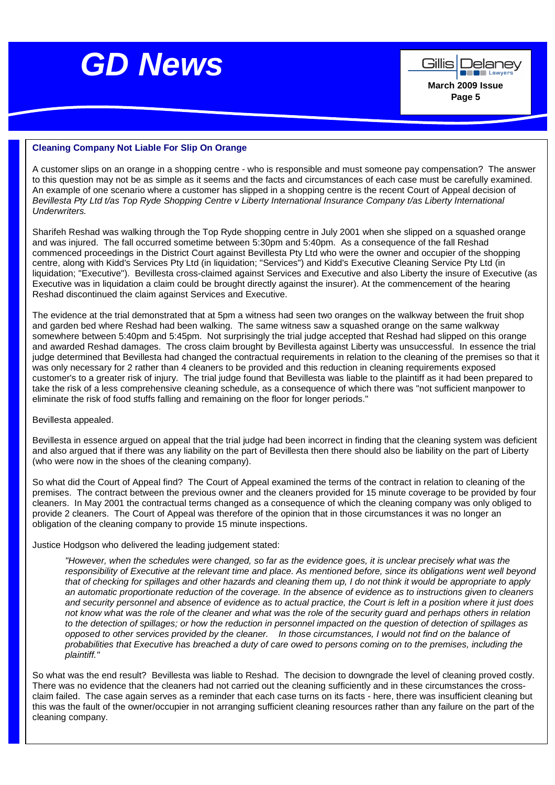

Gillis | Delanev **De la Lawyer March 2009 Issue Page 5** 

#### **Cleaning Company Not Liable For Slip On Orange**

A customer slips on an orange in a shopping centre - who is responsible and must someone pay compensation? The answer to this question may not be as simple as it seems and the facts and circumstances of each case must be carefully examined. An example of one scenario where a customer has slipped in a shopping centre is the recent Court of Appeal decision of Bevillesta Pty Ltd t/as Top Ryde Shopping Centre y Liberty International Insurance Company t/as Liberty International Underwriters.

and was injured. The fall occurred sometime between 5:30pm and 5:40pm. As a consequence of the fall Reshad<br>commenced assessatings in the District Caurt against Ravillagte Ptul td who was the sumer and cogunism of the sh **Level 6,**  centre, along with Kidd's Services Pty Ltd (in liquidation; "Services") and Kidd's Executive Cleaning Service Pty Ltd (in **179 Elizabeth Street,** liquidation; "Executive"). Bevillesta cross-claimed against Services and Executive and also Liberty the insure of Executive (as **Sydney 2000**  Executive was in liquidation a claim could be brought directly against the insurer). At the commencement of the hearing Sharifeh Reshad was walking through the Top Ryde shopping centre in July 2001 when she slipped on a squashed orange commenced proceedings in the District Court against Bevillesta Pty Ltd who were the owner and occupier of the shopping Reshad discontinued the claim against Services and Executive.

The evidence at the trial demonstrated that at 5pm a witness had seen two oranges on the walkway between the fruit shop and garden bed where Reshad had been walking. The same witness saw a squashed orange on the same walkway somewhere between 5:40pm and 5:45pm. Not surprisingly the trial judge accepted that Reshad had slipped on this orange and awarded Reshad damages. The cross claim brought by Bevillesta against Liberty was unsuccessful. In essence the trial judge determined that Bevillesta had changed the contractual requirements in relation to the cleaning of the premises so that it was only necessary for 2 rather than 4 cleaners to be provided and this reduction in cleaning requirements exposed customer's to a greater risk of injury. The trial judge found that Bevillesta was liable to the plaintiff as it had been prepared to take the risk of a less comprehensive cleaning schedule, as a consequence of which there was "not sufficient manpower to eliminate the risk of food stuffs falling and remaining on the floor for longer periods."

#### Bevillesta appealed.

Bevillesta in essence argued on appeal that the trial judge had been incorrect in finding that the cleaning system was deficient and also argued that if there was any liability on the part of Bevillesta then there should also be liability on the part of Liberty (who were now in the shoes of the cleaning company).

So what did the Court of Appeal find? The Court of Appeal examined the terms of the contract in relation to cleaning of the premises. The contract between the previous owner and the cleaners provided for 15 minute coverage to be provided by four cleaners. In May 2001 the contractual terms changed as a consequence of which the cleaning company was only obliged to provide 2 cleaners. The Court of Appeal was therefore of the opinion that in those circumstances it was no longer an obligation of the cleaning company to provide 15 minute inspections.

Justice Hodgson who delivered the leading judgement stated:

"However, when the schedules were changed, so far as the evidence goes, it is unclear precisely what was the responsibility of Executive at the relevant time and place. As mentioned before, since its obligations went well beyond that of checking for spillages and other hazards and cleaning them up, I do not think it would be appropriate to apply an automatic proportionate reduction of the coverage. In the absence of evidence as to instructions given to cleaners and security personnel and absence of evidence as to actual practice, the Court is left in a position where it just does not know what was the role of the cleaner and what was the role of the security guard and perhaps others in relation to the detection of spillages; or how the reduction in personnel impacted on the question of detection of spillages as opposed to other services provided by the cleaner. In those circumstances, I would not find on the balance of probabilities that Executive has breached a duty of care owed to persons coming on to the premises, including the plaintiff."

So what was the end result? Bevillesta was liable to Reshad. The decision to downgrade the level of cleaning proved costly. There was no evidence that the cleaners had not carried out the cleaning sufficiently and in these circumstances the crossclaim failed. The case again serves as a reminder that each case turns on its facts - here, there was insufficient cleaning but this was the fault of the owner/occupier in not arranging sufficient cleaning resources rather than any failure on the part of the cleaning company.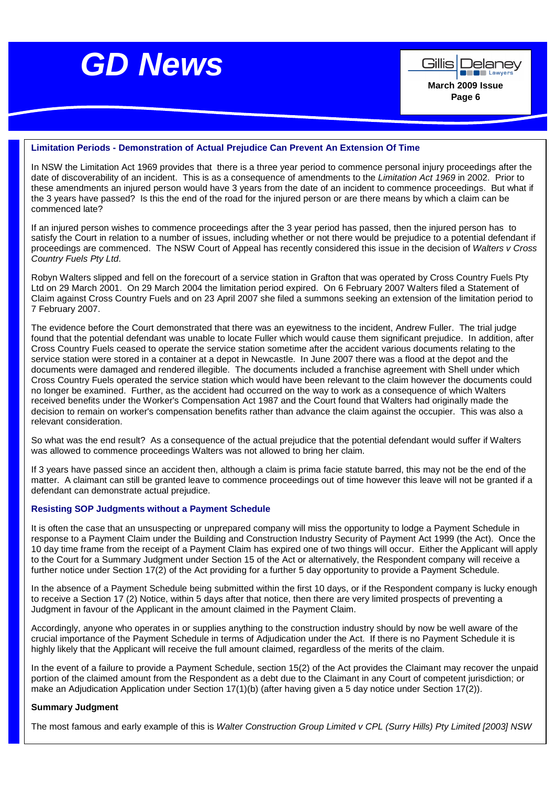

Gillis | Delanev **Example Lawyer March 2009 Issue Page 6** 

#### **Limitation Periods - Demonstration of Actual Prejudice Can Prevent An Extension Of Time**

In NSW the Limitation Act 1969 provides that there is a three year period to commence personal injury proceedings after the date of discoverability of an incident. This is as a consequence of amendments to the Limitation Act 1969 in 2002. Prior to these amendments an injured person would have 3 years from the date of an incident to commence proceedings. But what if the 3 years have passed? Is this the end of the road for the injured person or are there means by which a claim can be commenced late?

If an injured person wishes to commence proceedings after the 3 year period has passed, then the injured person has to satisfy the Court in relation to a number of issues, including whether or not there would be prejudice to a potential defendant if proceedings are commenced. The NSW Court of Appeal has recently considered this issue in the decision of Walters v Cross Country Fuels Pty Ltd.

Robyn Walters slipped and fell on the forecourt of a service station in Grafton that was operated by Cross Country Fuels Pty Ltd on 29 March 2001. On 29 March 2004 the limitation period expired. On 6 February 2007 Walters filed a Statement of Claim against Cross Country Fuels and on 23 April 2007 she filed a summons seeking an extension of the limitation period to 7 February 2007.

The evidence before the Court demonstrated that there was an eyewitness to the incident, Andrew Fuller. The trial judge found that the potential defendant was unable to locate Fuller which would cause them significant prejudice. In addition, after Cross Country Fuels ceased to operate the service station sometime after the accident various documents relating to the service station were stored in a container at a depot in Newcastle. In June 2007 there was a flood at the depot and the documents were damaged and rendered illegible. The documents included a franchise agreement with Shell under which Cross Country Fuels operated the service station which would have been relevant to the claim however the documents could no longer be examined. Further, as the accident had occurred on the way to work as a consequence of which Walters received benefits under the Worker's Compensation Act 1987 and the Court found that Walters had originally made the decision to remain on worker's compensation benefits rather than advance the claim against the occupier. This was also a relevant consideration.

So what was the end result? As a consequence of the actual prejudice that the potential defendant would suffer if Walters was allowed to commence proceedings Walters was not allowed to bring her claim.

If 3 years have passed since an accident then, although a claim is prima facie statute barred, this may not be the end of the matter. A claimant can still be granted leave to commence proceedings out of time however this leave will not be granted if a defendant can demonstrate actual prejudice.

#### **Resisting SOP Judgments without a Payment Schedule**

It is often the case that an unsuspecting or unprepared company will miss the opportunity to lodge a Payment Schedule in response to a Payment Claim under the Building and Construction Industry Security of Payment Act 1999 (the Act). Once the 10 day time frame from the receipt of a Payment Claim has expired one of two things will occur. Either the Applicant will apply to the Court for a Summary Judgment under Section 15 of the Act or alternatively, the Respondent company will receive a further notice under Section 17(2) of the Act providing for a further 5 day opportunity to provide a Payment Schedule.

In the absence of a Payment Schedule being submitted within the first 10 days, or if the Respondent company is lucky enough to receive a Section 17 (2) Notice, within 5 days after that notice, then there are very limited prospects of preventing a Judgment in favour of the Applicant in the amount claimed in the Payment Claim.

Accordingly, anyone who operates in or supplies anything to the construction industry should by now be well aware of the crucial importance of the Payment Schedule in terms of Adjudication under the Act. If there is no Payment Schedule it is highly likely that the Applicant will receive the full amount claimed, regardless of the merits of the claim.

In the event of a failure to provide a Payment Schedule, section 15(2) of the Act provides the Claimant may recover the unpaid portion of the claimed amount from the Respondent as a debt due to the Claimant in any Court of competent jurisdiction; or make an Adjudication Application under Section 17(1)(b) (after having given a 5 day notice under Section 17(2)).

#### **Summary Judgment**

The most famous and early example of this is Walter Construction Group Limited v CPL (Surry Hills) Pty Limited [2003] NSW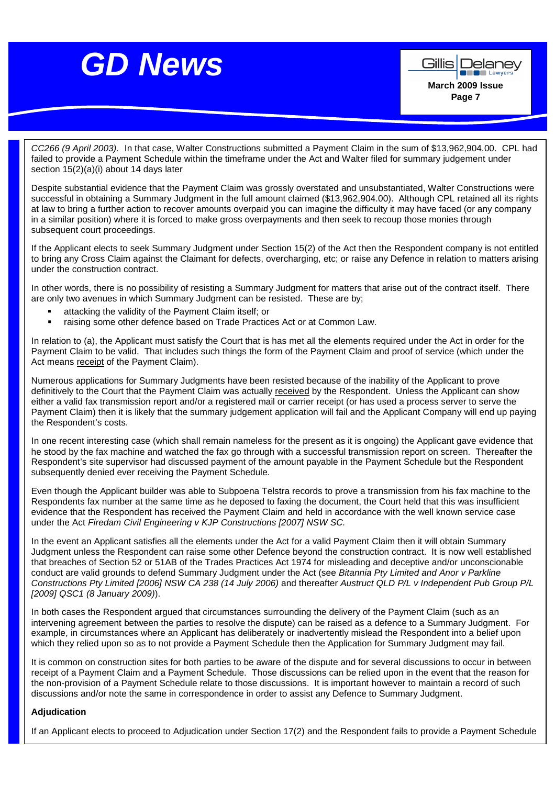**De Lawyer March 2009 Issue Page 7** 

Gillis | Delanev

CC266 (9 April 2003). In that case, Walter Constructions submitted a Payment Claim in the sum of \$13,962,904.00. CPL had failed to provide a Payment Schedule within the timeframe under the Act and Walter filed for summary judgement under section 15(2)(a)(i) about 14 days later

Despite substantial evidence that the Payment Claim was grossly overstated and unsubstantiated, Walter Constructions were successful in obtaining a Summary Judgment in the full amount claimed (\$13,962,904.00). Although CPL retained all its rights at law to bring a further action to recover amounts overpaid you can imagine the difficulty it may have faced (or any company in a similar position) where it is forced to make gross overpayments and then seek to recoup those monies through subsequent court proceedings.

If the Applicant elects to seek Summary Judgment under Section 15(2) of the Act then the Respondent company is not entitled to bring any Cross Claim against the Claimant for defects, overcharging, etc; or raise any Defence in relation to matters arising under the construction contract.

In other words, there is no possibility of resisting a Summary Judgment for matters that arise out of the contract itself. There are only two avenues in which Summary Judgment can be resisted. These are by;

- attacking the validity of the Payment Claim itself; or
- raising some other defence based on Trade Practices Act or at Common Law.

In relation to (a), the Applicant must satisfy the Court that is has met all the elements required under the Act in order for the Payment Claim to be valid. That includes such things the form of the Payment Claim and proof of service (which under the Act means receipt of the Payment Claim).

Numerous applications for Summary Judgments have been resisted because of the inability of the Applicant to prove definitively to the Court that the Payment Claim was actually received by the Respondent. Unless the Applicant can show either a valid fax transmission report and/or a registered mail or carrier receipt (or has used a process server to serve the Payment Claim) then it is likely that the summary judgement application will fail and the Applicant Company will end up paying the Respondent's costs.

In one recent interesting case (which shall remain nameless for the present as it is ongoing) the Applicant gave evidence that he stood by the fax machine and watched the fax go through with a successful transmission report on screen. Thereafter the Respondent's site supervisor had discussed payment of the amount payable in the Payment Schedule but the Respondent subsequently denied ever receiving the Payment Schedule.

Even though the Applicant builder was able to Subpoena Telstra records to prove a transmission from his fax machine to the Respondents fax number at the same time as he deposed to faxing the document, the Court held that this was insufficient evidence that the Respondent has received the Payment Claim and held in accordance with the well known service case under the Act Firedam Civil Engineering v KJP Constructions [2007] NSW SC.

In the event an Applicant satisfies all the elements under the Act for a valid Payment Claim then it will obtain Summary Judgment unless the Respondent can raise some other Defence beyond the construction contract. It is now well established that breaches of Section 52 or 51AB of the Trades Practices Act 1974 for misleading and deceptive and/or unconscionable conduct are valid grounds to defend Summary Judgment under the Act (see Bitannia Pty Limited and Anor v Parkline Constructions Pty Limited [2006] NSW CA 238 (14 July 2006) and thereafter Austruct QLD P/L v Independent Pub Group P/L [2009] QSC1 (8 January 2009)).

In both cases the Respondent argued that circumstances surrounding the delivery of the Payment Claim (such as an intervening agreement between the parties to resolve the dispute) can be raised as a defence to a Summary Judgment. For example, in circumstances where an Applicant has deliberately or inadvertently mislead the Respondent into a belief upon which they relied upon so as to not provide a Payment Schedule then the Application for Summary Judgment may fail.

It is common on construction sites for both parties to be aware of the dispute and for several discussions to occur in between receipt of a Payment Claim and a Payment Schedule. Those discussions can be relied upon in the event that the reason for the non-provision of a Payment Schedule relate to those discussions. It is important however to maintain a record of such discussions and/or note the same in correspondence in order to assist any Defence to Summary Judgment.

### **Adjudication**

If an Applicant elects to proceed to Adjudication under Section 17(2) and the Respondent fails to provide a Payment Schedule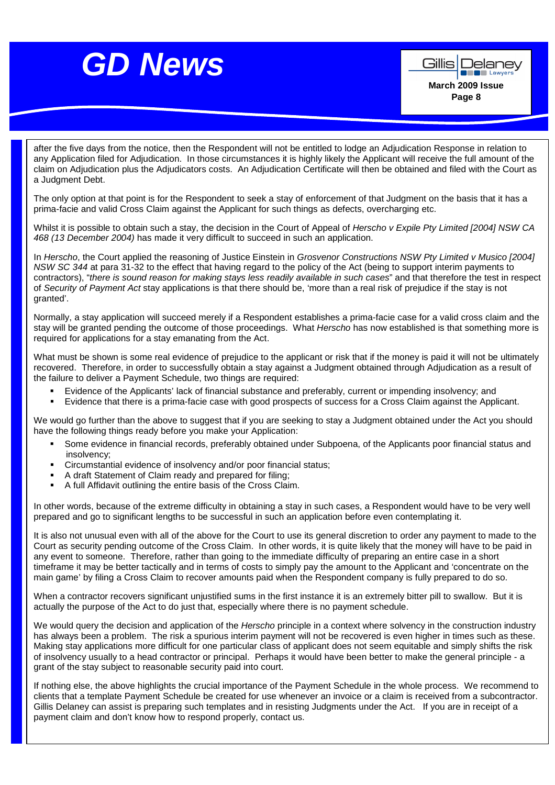**March 2009 Issue Page 8** 

Delanev **Example 2** Lawyer

Gillisl

after the five days from the notice, then the Respondent will not be entitled to lodge an Adjudication Response in relation to any Application filed for Adjudication. In those circumstances it is highly likely the Applicant will receive the full amount of the claim on Adjudication plus the Adjudicators costs. An Adjudication Certificate will then be obtained and filed with the Court as a Judgment Debt.

The only option at that point is for the Respondent to seek a stay of enforcement of that Judgment on the basis that it has a prima-facie and valid Cross Claim against the Applicant for such things as defects, overcharging etc.

Whilst it is possible to obtain such a stay, the decision in the Court of Appeal of Herscho v Expile Pty Limited [2004] NSW CA 468 (13 December 2004) has made it very difficult to succeed in such an application.

In Herscho, the Court applied the reasoning of Justice Einstein in Grosvenor Constructions NSW Pty Limited v Musico [2004] NSW SC 344 at para 31-32 to the effect that having regard to the policy of the Act (being to support interim payments to contractors), "there is sound reason for making stays less readily available in such cases" and that therefore the test in respect of Security of Payment Act stay applications is that there should be, 'more than a real risk of prejudice if the stay is not granted'.

Normally, a stay application will succeed merely if a Respondent establishes a prima-facie case for a valid cross claim and the stay will be granted pending the outcome of those proceedings. What Herscho has now established is that something more is required for applications for a stay emanating from the Act.

What must be shown is some real evidence of prejudice to the applicant or risk that if the money is paid it will not be ultimately recovered. Therefore, in order to successfully obtain a stay against a Judgment obtained through Adjudication as a result of the failure to deliver a Payment Schedule, two things are required:

- Evidence of the Applicants' lack of financial substance and preferably, current or impending insolvency; and
- Evidence that there is a prima-facie case with good prospects of success for a Cross Claim against the Applicant.

We would go further than the above to suggest that if you are seeking to stay a Judgment obtained under the Act you should have the following things ready before you make your Application:

- Some evidence in financial records, preferably obtained under Subpoena, of the Applicants poor financial status and insolvency;
- Circumstantial evidence of insolvency and/or poor financial status;
- A draft Statement of Claim ready and prepared for filing;
- A full Affidavit outlining the entire basis of the Cross Claim.

In other words, because of the extreme difficulty in obtaining a stay in such cases, a Respondent would have to be very well prepared and go to significant lengths to be successful in such an application before even contemplating it.

It is also not unusual even with all of the above for the Court to use its general discretion to order any payment to made to the Court as security pending outcome of the Cross Claim. In other words, it is quite likely that the money will have to be paid in any event to someone. Therefore, rather than going to the immediate difficulty of preparing an entire case in a short timeframe it may be better tactically and in terms of costs to simply pay the amount to the Applicant and 'concentrate on the main game' by filing a Cross Claim to recover amounts paid when the Respondent company is fully prepared to do so.

When a contractor recovers significant unjustified sums in the first instance it is an extremely bitter pill to swallow. But it is actually the purpose of the Act to do just that, especially where there is no payment schedule.

We would query the decision and application of the Herscho principle in a context where solvency in the construction industry has always been a problem. The risk a spurious interim payment will not be recovered is even higher in times such as these. Making stay applications more difficult for one particular class of applicant does not seem equitable and simply shifts the risk of insolvency usually to a head contractor or principal. Perhaps it would have been better to make the general principle - a grant of the stay subject to reasonable security paid into court.

If nothing else, the above highlights the crucial importance of the Payment Schedule in the whole process. We recommend to clients that a template Payment Schedule be created for use whenever an invoice or a claim is received from a subcontractor. Gillis Delaney can assist is preparing such templates and in resisting Judgments under the Act. If you are in receipt of a payment claim and don't know how to respond properly, contact us.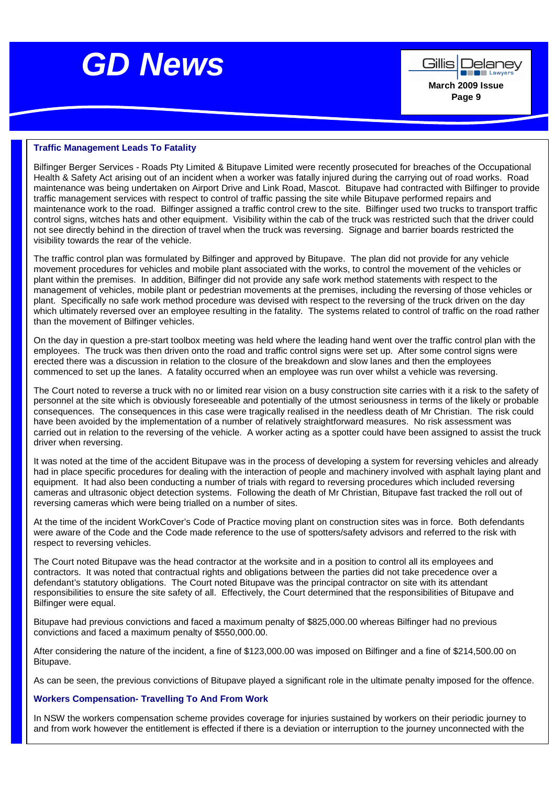

Gillis | Delanev **Example Lawyer March 2009 Issue Page 9** 

#### **Traffic Management Leads To Fatality**

Bilfinger Berger Services - Roads Pty Limited & Bitupave Limited were recently prosecuted for breaches of the Occupational Health & Safety Act arising out of an incident when a worker was fatally injured during the carrying out of road works. Road maintenance was being undertaken on Airport Drive and Link Road, Mascot. Bitupave had contracted with Bilfinger to provide traffic management services with respect to control of traffic passing the site while Bitupave performed repairs and maintenance work to the road. Bilfinger assigned a traffic control crew to the site. Bilfinger used two trucks to transport traffic control signs, witches hats and other equipment. Visibility within the cab of the truck was restricted such that the driver could not see directly behind in the direction of travel when the truck was reversing. Signage and barrier boards restricted the visibility towards the rear of the vehicle.

The traffic control plan was formulated by Bilfinger and approved by Bitupave. The plan did not provide for any vehicle movement procedures for vehicles and mobile plant associated with the works, to control the movement of the vehicles or plant within the premises. In addition, Bilfinger did not provide any safe work method statements with respect to the management of vehicles, mobile plant or pedestrian movements at the premises, including the reversing of those vehicles or plant. Specifically no safe work method procedure was devised with respect to the reversing of the truck driven on the day which ultimately reversed over an employee resulting in the fatality. The systems related to control of traffic on the road rather than the movement of Bilfinger vehicles.

On the day in question a pre-start toolbox meeting was held where the leading hand went over the traffic control plan with the employees. The truck was then driven onto the road and traffic control signs were set up. After some control signs were erected there was a discussion in relation to the closure of the breakdown and slow lanes and then the employees commenced to set up the lanes. A fatality occurred when an employee was run over whilst a vehicle was reversing.

The Court noted to reverse a truck with no or limited rear vision on a busy construction site carries with it a risk to the safety of personnel at the site which is obviously foreseeable and potentially of the utmost seriousness in terms of the likely or probable consequences. The consequences in this case were tragically realised in the needless death of Mr Christian. The risk could have been avoided by the implementation of a number of relatively straightforward measures. No risk assessment was carried out in relation to the reversing of the vehicle. A worker acting as a spotter could have been assigned to assist the truck driver when reversing.

It was noted at the time of the accident Bitupave was in the process of developing a system for reversing vehicles and already had in place specific procedures for dealing with the interaction of people and machinery involved with asphalt laying plant and equipment. It had also been conducting a number of trials with regard to reversing procedures which included reversing cameras and ultrasonic object detection systems. Following the death of Mr Christian, Bitupave fast tracked the roll out of reversing cameras which were being trialled on a number of sites.

At the time of the incident WorkCover's Code of Practice moving plant on construction sites was in force. Both defendants were aware of the Code and the Code made reference to the use of spotters/safety advisors and referred to the risk with respect to reversing vehicles.

The Court noted Bitupave was the head contractor at the worksite and in a position to control all its employees and contractors. It was noted that contractual rights and obligations between the parties did not take precedence over a defendant's statutory obligations. The Court noted Bitupave was the principal contractor on site with its attendant responsibilities to ensure the site safety of all. Effectively, the Court determined that the responsibilities of Bitupave and Bilfinger were equal.

Bitupave had previous convictions and faced a maximum penalty of \$825,000.00 whereas Bilfinger had no previous convictions and faced a maximum penalty of \$550,000.00.

After considering the nature of the incident, a fine of \$123,000.00 was imposed on Bilfinger and a fine of \$214,500.00 on Bitupave.

As can be seen, the previous convictions of Bitupave played a significant role in the ultimate penalty imposed for the offence.

#### **Workers Compensation- Travelling To And From Work**

In NSW the workers compensation scheme provides coverage for injuries sustained by workers on their periodic journey to and from work however the entitlement is effected if there is a deviation or interruption to the journey unconnected with the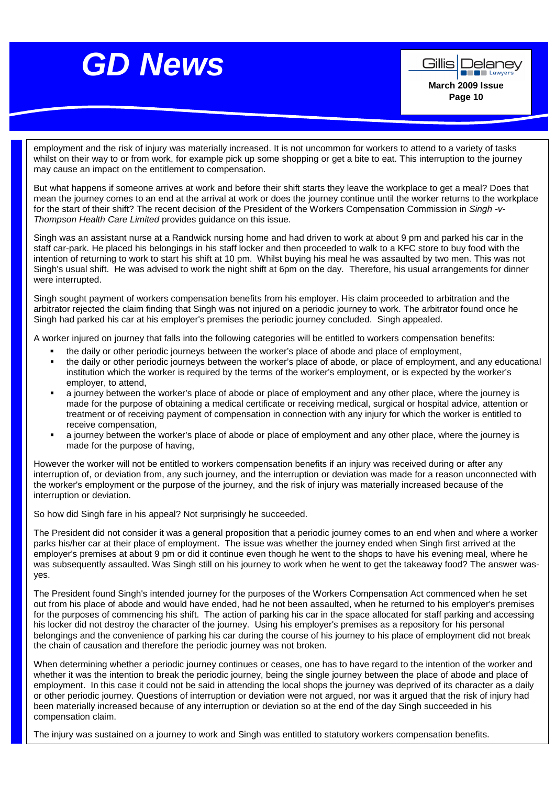**Example 2** Lawyer **March 2009 Issue Page 10** 

Gillis | Delanev

employment and the risk of injury was materially increased. It is not uncommon for workers to attend to a variety of tasks whilst on their way to or from work, for example pick up some shopping or get a bite to eat. This interruption to the journey may cause an impact on the entitlement to compensation.

But what happens if someone arrives at work and before their shift starts they leave the workplace to get a meal? Does that mean the journey comes to an end at the arrival at work or does the journey continue until the worker returns to the workplace for the start of their shift? The recent decision of the President of the Workers Compensation Commission in Singh -v-Thompson Health Care Limited provides guidance on this issue.

Singh was an assistant nurse at a Randwick nursing home and had driven to work at about 9 pm and parked his car in the staff car-park. He placed his belongings in his staff locker and then proceeded to walk to a KFC store to buy food with the intention of returning to work to start his shift at 10 pm. Whilst buying his meal he was assaulted by two men. This was not Singh's usual shift. He was advised to work the night shift at 6pm on the day. Therefore, his usual arrangements for dinner were interrupted.

Singh sought payment of workers compensation benefits from his employer. His claim proceeded to arbitration and the arbitrator rejected the claim finding that Singh was not injured on a periodic journey to work. The arbitrator found once he Singh had parked his car at his employer's premises the periodic journey concluded. Singh appealed.

A worker injured on journey that falls into the following categories will be entitled to workers compensation benefits:

- the daily or other periodic journeys between the worker's place of abode and place of employment,
- the daily or other periodic journeys between the worker's place of abode, or place of employment, and any educational institution which the worker is required by the terms of the worker's employment, or is expected by the worker's employer, to attend,
- a journey between the worker's place of abode or place of employment and any other place, where the journey is made for the purpose of obtaining a medical certificate or receiving medical, surgical or hospital advice, attention or treatment or of receiving payment of compensation in connection with any injury for which the worker is entitled to receive compensation,
- a journey between the worker's place of abode or place of employment and any other place, where the journey is made for the purpose of having,

However the worker will not be entitled to workers compensation benefits if an injury was received during or after any interruption of, or deviation from, any such journey, and the interruption or deviation was made for a reason unconnected with the worker's employment or the purpose of the journey, and the risk of injury was materially increased because of the interruption or deviation.

So how did Singh fare in his appeal? Not surprisingly he succeeded.

The President did not consider it was a general proposition that a periodic journey comes to an end when and where a worker parks his/her car at their place of employment. The issue was whether the journey ended when Singh first arrived at the employer's premises at about 9 pm or did it continue even though he went to the shops to have his evening meal, where he was subsequently assaulted. Was Singh still on his journey to work when he went to get the takeaway food? The answer wasyes.

The President found Singh's intended journey for the purposes of the Workers Compensation Act commenced when he set out from his place of abode and would have ended, had he not been assaulted, when he returned to his employer's premises for the purposes of commencing his shift. The action of parking his car in the space allocated for staff parking and accessing his locker did not destroy the character of the journey. Using his employer's premises as a repository for his personal belongings and the convenience of parking his car during the course of his journey to his place of employment did not break the chain of causation and therefore the periodic journey was not broken.

When determining whether a periodic journey continues or ceases, one has to have regard to the intention of the worker and whether it was the intention to break the periodic journey, being the single journey between the place of abode and place of employment. In this case it could not be said in attending the local shops the journey was deprived of its character as a daily or other periodic journey. Questions of interruption or deviation were not argued, nor was it argued that the risk of injury had been materially increased because of any interruption or deviation so at the end of the day Singh succeeded in his compensation claim.

The injury was sustained on a journey to work and Singh was entitled to statutory workers compensation benefits.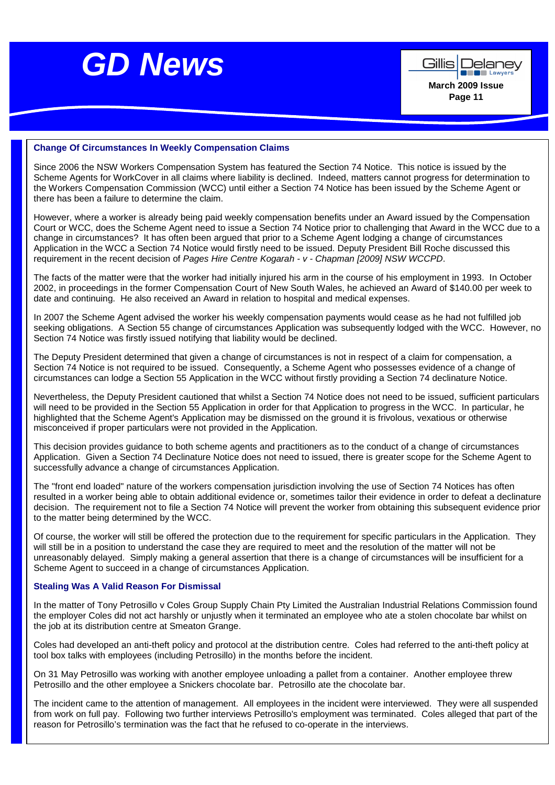

Gillis | Delanev **Example Lawyer March 2009 Issue Page 11** 

#### **Change Of Circumstances In Weekly Compensation Claims**

Since 2006 the NSW Workers Compensation System has featured the Section 74 Notice. This notice is issued by the Scheme Agents for WorkCover in all claims where liability is declined. Indeed, matters cannot progress for determination to the Workers Compensation Commission (WCC) until either a Section 74 Notice has been issued by the Scheme Agent or there has been a failure to determine the claim.

However, where a worker is already being paid weekly compensation benefits under an Award issued by the Compensation Court or WCC, does the Scheme Agent need to issue a Section 74 Notice prior to challenging that Award in the WCC due to a change in circumstances? It has often been argued that prior to a Scheme Agent lodging a change of circumstances Application in the WCC a Section 74 Notice would firstly need to be issued. Deputy President Bill Roche discussed this requirement in the recent decision of Pages Hire Centre Kogarah - v - Chapman [2009] NSW WCCPD.

The facts of the matter were that the worker had initially injured his arm in the course of his employment in 1993. In October 2002, in proceedings in the former Compensation Court of New South Wales, he achieved an Award of \$140.00 per week to date and continuing. He also received an Award in relation to hospital and medical expenses.

In 2007 the Scheme Agent advised the worker his weekly compensation payments would cease as he had not fulfilled job seeking obligations. A Section 55 change of circumstances Application was subsequently lodged with the WCC. However, no Section 74 Notice was firstly issued notifying that liability would be declined.

The Deputy President determined that given a change of circumstances is not in respect of a claim for compensation, a Section 74 Notice is not required to be issued. Consequently, a Scheme Agent who possesses evidence of a change of circumstances can lodge a Section 55 Application in the WCC without firstly providing a Section 74 declinature Notice.

Nevertheless, the Deputy President cautioned that whilst a Section 74 Notice does not need to be issued, sufficient particulars will need to be provided in the Section 55 Application in order for that Application to progress in the WCC. In particular, he highlighted that the Scheme Agent's Application may be dismissed on the ground it is frivolous, vexatious or otherwise misconceived if proper particulars were not provided in the Application.

This decision provides guidance to both scheme agents and practitioners as to the conduct of a change of circumstances Application. Given a Section 74 Declinature Notice does not need to issued, there is greater scope for the Scheme Agent to successfully advance a change of circumstances Application.

The "front end loaded" nature of the workers compensation jurisdiction involving the use of Section 74 Notices has often resulted in a worker being able to obtain additional evidence or, sometimes tailor their evidence in order to defeat a declinature decision. The requirement not to file a Section 74 Notice will prevent the worker from obtaining this subsequent evidence prior to the matter being determined by the WCC.

Of course, the worker will still be offered the protection due to the requirement for specific particulars in the Application. They will still be in a position to understand the case they are required to meet and the resolution of the matter will not be unreasonably delayed. Simply making a general assertion that there is a change of circumstances will be insufficient for a Scheme Agent to succeed in a change of circumstances Application.

#### **Stealing Was A Valid Reason For Dismissal**

In the matter of Tony Petrosillo v Coles Group Supply Chain Pty Limited the Australian Industrial Relations Commission found the employer Coles did not act harshly or unjustly when it terminated an employee who ate a stolen chocolate bar whilst on the job at its distribution centre at Smeaton Grange.

Coles had developed an anti-theft policy and protocol at the distribution centre. Coles had referred to the anti-theft policy at tool box talks with employees (including Petrosillo) in the months before the incident.

On 31 May Petrosillo was working with another employee unloading a pallet from a container. Another employee threw Petrosillo and the other employee a Snickers chocolate bar. Petrosillo ate the chocolate bar.

The incident came to the attention of management. All employees in the incident were interviewed. They were all suspended from work on full pay. Following two further interviews Petrosillo's employment was terminated. Coles alleged that part of the reason for Petrosillo's termination was the fact that he refused to co-operate in the interviews.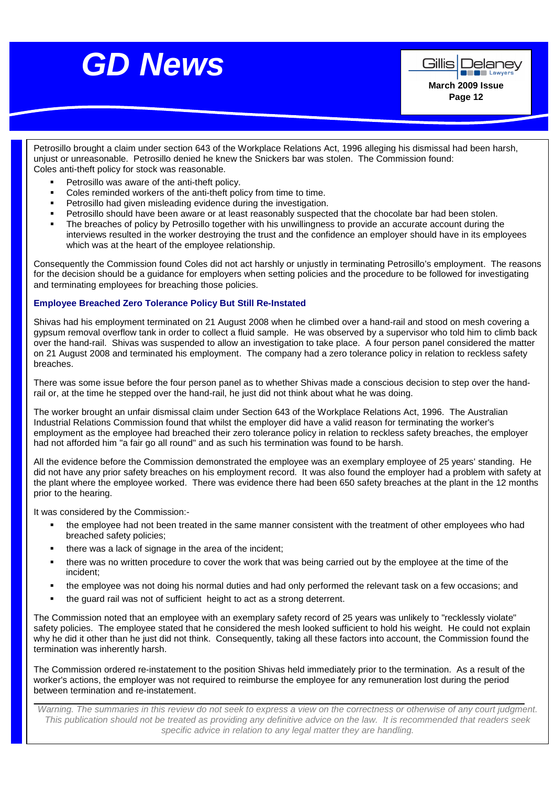**Alle Lawyer March 2009 Issue Page 12** 

Gillis | Delanev

Petrosillo brought a claim under section 643 of the Workplace Relations Act, 1996 alleging his dismissal had been harsh, unjust or unreasonable. Petrosillo denied he knew the Snickers bar was stolen. The Commission found: Coles anti-theft policy for stock was reasonable.

- Petrosillo was aware of the anti-theft policy.
- Coles reminded workers of the anti-theft policy from time to time.
- **Petrosillo had given misleading evidence during the investigation.**
- Petrosillo should have been aware or at least reasonably suspected that the chocolate bar had been stolen.
- The breaches of policy by Petrosillo together with his unwillingness to provide an accurate account during the interviews resulted in the worker destroying the trust and the confidence an employer should have in its employees which was at the heart of the employee relationship.

Consequently the Commission found Coles did not act harshly or unjustly in terminating Petrosillo's employment. The reasons for the decision should be a guidance for employers when setting policies and the procedure to be followed for investigating and terminating employees for breaching those policies.

### **Employee Breached Zero Tolerance Policy But Still Re-Instated**

Shivas had his employment terminated on 21 August 2008 when he climbed over a hand-rail and stood on mesh covering a gypsum removal overflow tank in order to collect a fluid sample. He was observed by a supervisor who told him to climb back over the hand-rail. Shivas was suspended to allow an investigation to take place. A four person panel considered the matter on 21 August 2008 and terminated his employment. The company had a zero tolerance policy in relation to reckless safety breaches.

There was some issue before the four person panel as to whether Shivas made a conscious decision to step over the handrail or, at the time he stepped over the hand-rail, he just did not think about what he was doing.

The worker brought an unfair dismissal claim under Section 643 of the Workplace Relations Act, 1996. The Australian Industrial Relations Commission found that whilst the employer did have a valid reason for terminating the worker's employment as the employee had breached their zero tolerance policy in relation to reckless safety breaches, the employer had not afforded him "a fair go all round" and as such his termination was found to be harsh.

All the evidence before the Commission demonstrated the employee was an exemplary employee of 25 years' standing. He did not have any prior safety breaches on his employment record. It was also found the employer had a problem with safety at the plant where the employee worked. There was evidence there had been 650 safety breaches at the plant in the 12 months prior to the hearing.

It was considered by the Commission:-

- the employee had not been treated in the same manner consistent with the treatment of other employees who had breached safety policies;
- there was a lack of signage in the area of the incident;
- there was no written procedure to cover the work that was being carried out by the employee at the time of the incident;
- the employee was not doing his normal duties and had only performed the relevant task on a few occasions; and
- the guard rail was not of sufficient height to act as a strong deterrent.

The Commission noted that an employee with an exemplary safety record of 25 years was unlikely to "recklessly violate" safety policies. The employee stated that he considered the mesh looked sufficient to hold his weight. He could not explain why he did it other than he just did not think. Consequently, taking all these factors into account, the Commission found the termination was inherently harsh.

The Commission ordered re-instatement to the position Shivas held immediately prior to the termination. As a result of the worker's actions, the employer was not required to reimburse the employee for any remuneration lost during the period between termination and re-instatement.

Warning. The summaries in this review do not seek to express a view on the correctness or otherwise of any court judgment. This publication should not be treated as providing any definitive advice on the law. It is recommended that readers seek specific advice in relation to any legal matter they are handling.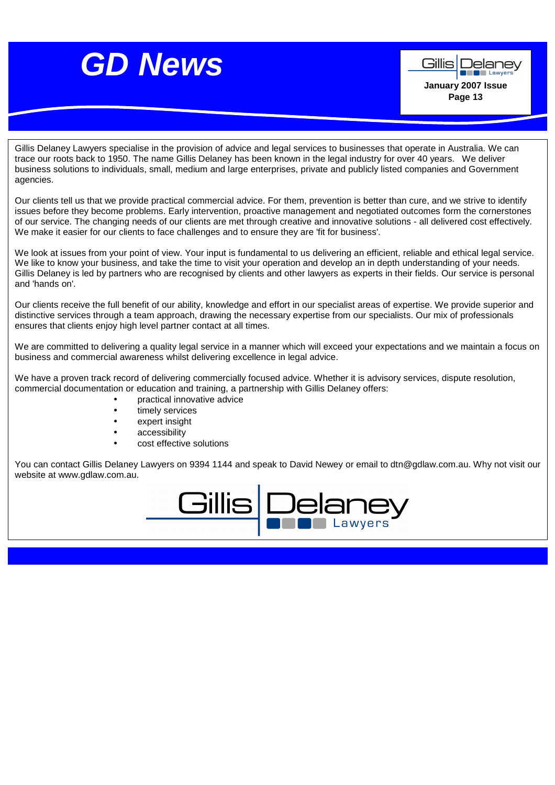

**De la Lawye January 2007 Issue Page 13** 

Delanev

Gillis

Gillis Delaney Lawyers specialise in the provision of advice and legal services to businesses that operate in Australia. We can trace our roots back to 1950. The name Gillis Delaney has been known in the legal industry for over 40 years. We deliver business solutions to individuals, small, medium and large enterprises, private and publicly listed companies and Government agencies.

Our clients tell us that we provide practical commercial advice. For them, prevention is better than cure, and we strive to identify issues before they become problems. Early intervention, proactive management and negotiated outcomes form the cornerstones of our service. The changing needs of our clients are met through creative and innovative solutions - all delivered cost effectively. We make it easier for our clients to face challenges and to ensure they are 'fit for business'.

We look at issues from your point of view. Your input is fundamental to us delivering an efficient, reliable and ethical legal service. We like to know your business, and take the time to visit your operation and develop an in depth understanding of your needs. Gillis Delaney is led by partners who are recognised by clients and other lawyers as experts in their fields. Our service is personal and 'hands on'.

Our clients receive the full benefit of our ability, knowledge and effort in our specialist areas of expertise. We provide superior and distinctive services through a team approach, drawing the necessary expertise from our specialists. Our mix of professionals ensures that clients enjoy high level partner contact at all times.

We are committed to delivering a quality legal service in a manner which will exceed your expectations and we maintain a focus on business and commercial awareness whilst delivering excellence in legal advice.

We have a proven track record of delivering commercially focused advice. Whether it is advisory services, dispute resolution, commercial documentation or education and training, a partnership with Gillis Delaney offers:

- practical innovative advice
- timely services
- expert insight
- accessibility
- cost effective solutions

You can contact Gillis Delaney Lawyers on 9394 1144 and speak to David Newey or email to dtn@gdlaw.com.au. Why not visit our website at www.gdlaw.com.au.

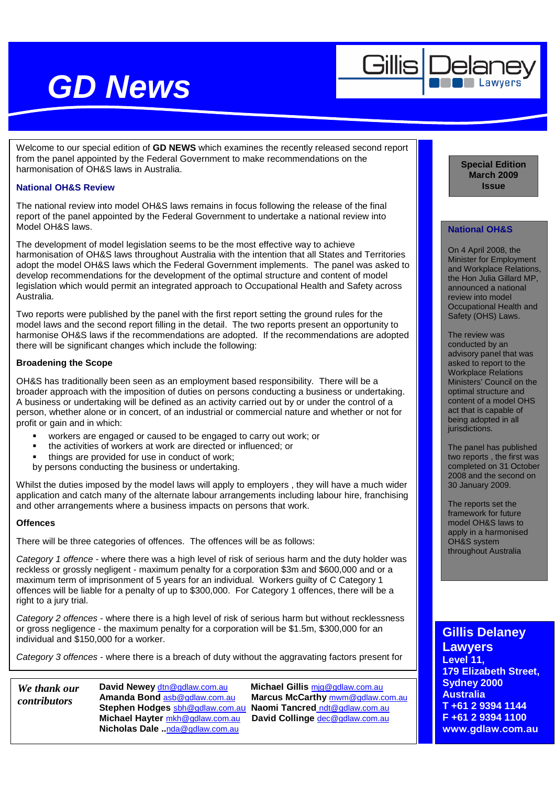

Welcome to our special edition of **GD NEWS** which examines the recently released second report from the panel appointed by the Federal Government to make recommendations on the harmonisation of OH&S laws in Australia.

#### **National OH&S Review**

The national review into model OH&S laws remains in focus following the release of the final report of the panel appointed by the Federal Government to undertake a national review into Model OH&S laws.

The development of model legislation seems to be the most effective way to achieve harmonisation of OH&S laws throughout Australia with the intention that all States and Territories adopt the model OH&S laws which the Federal Government implements. The panel was asked to develop recommendations for the development of the optimal structure and content of model legislation which would permit an integrated approach to Occupational Health and Safety across Australia.

Two reports were published by the panel with the first report setting the ground rules for the model laws and the second report filling in the detail. The two reports present an opportunity to harmonise OH&S laws if the recommendations are adopted. If the recommendations are adopted there will be significant changes which include the following:

#### **Broadening the Scope**

OH&S has traditionally been seen as an employment based responsibility. There will be a broader approach with the imposition of duties on persons conducting a business or undertaking. A business or undertaking will be defined as an activity carried out by or under the control of a person, whether alone or in concert, of an industrial or commercial nature and whether or not for profit or gain and in which:

- workers are engaged or caused to be engaged to carry out work; or
- the activities of workers at work are directed or influenced; or
- things are provided for use in conduct of work;
- by persons conducting the business or undertaking.

Whilst the duties imposed by the model laws will apply to employers , they will have a much wider application and catch many of the alternate labour arrangements including labour hire, franchising and other arrangements where a business impacts on persons that work.

#### **Offences**

There will be three categories of offences. The offences will be as follows:

Category 1 offence - where there was a high level of risk of serious harm and the duty holder was reckless or grossly negligent - maximum penalty for a corporation \$3m and \$600,000 and or a maximum term of imprisonment of 5 years for an individual. Workers guilty of C Category 1 offences will be liable for a penalty of up to \$300,000. For Category 1 offences, there will be a right to a jury trial.

Category 2 offences - where there is a high level of risk of serious harm but without recklessness or gross negligence - the maximum penalty for a corporation will be \$1.5m, \$300,000 for an individual and \$150,000 for a worker.

Category 3 offences - where there is a breach of duty without the aggravating factors present for

*We thank our contributors* 

**Stephen Hodges** sbh@gdlaw.com.au **Naomi Tancred** ndt@gdlaw.com.au **Michael Hayter** mkh@gdlaw.com.au **Nicholas Dale ..**nda@gdlaw.com.au

**David Newey** dtn@gdlaw.com.au **Michael Gillis** mjg@gdlaw.com.au **Amanda Bond** asb@gdlaw.com.au **Marcus McCarthy** mwm@gdlaw.com.au **Special Edition March 2009 Issue** 

### **National OH&S**

On 4 April 2008, the Minister for Employment and Workplace Relations, the Hon Julia Gillard MP, announced a national review into model Occupational Health and Safety (OHS) Laws.

The review was conducted by an advisory panel that was asked to report to the Workplace Relations Ministers' Council on the optimal structure and content of a model OHS act that is capable of being adopted in all jurisdictions.

The panel has published two reports , the first was completed on 31 October 2008 and the second on 30 January 2009.

The reports set the framework for future model OH&S laws to apply in a harmonised OH&S system throughout Australia

### **Gillis Delaney**

**Lawyers Level 11, 179 Elizabeth Street, Sydney 2000 Australia T +61 2 9394 1144 F +61 2 9394 1100 www.gdlaw.com.au**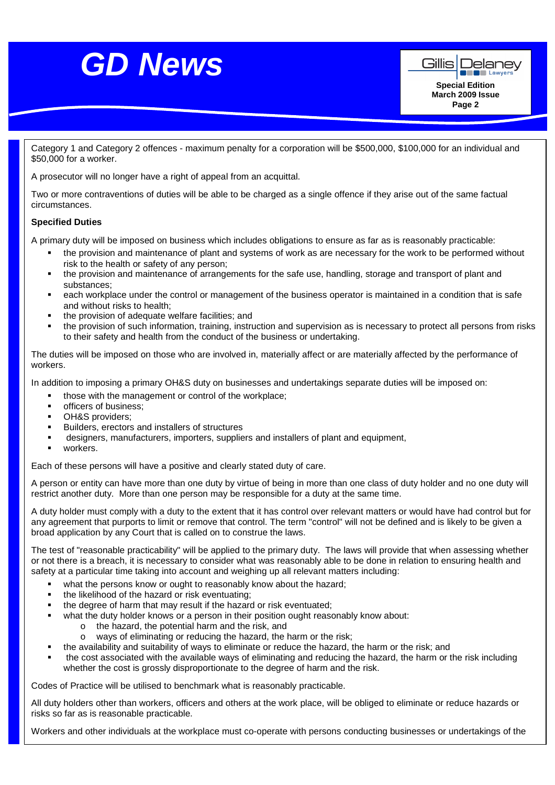



Category 1 and Category 2 offences - maximum penalty for a corporation will be \$500,000, \$100,000 for an individual and \$50,000 for a worker.

A prosecutor will no longer have a right of appeal from an acquittal.

Two or more contraventions of duties will be able to be charged as a single offence if they arise out of the same factual circumstances.

#### **Specified Duties**

**179 Elizabeth Street, Sydney 2000**  A primary duty will be imposed on business which includes obligations to ensure as far as is reasonably practicable:

- **•** the provision and maintenance of plant and systems of work as are necessary for the work to be performed without  $T_{\rm eff}$  ,  $\sigma_{\rm eff}$  ,  $\sigma_{\rm eff}$  ,  $\sigma_{\rm eff}$  ,  $\sigma_{\rm eff}$  ,  $\sigma_{\rm eff}$  ,  $\sigma_{\rm eff}$ risk to the health or safety of any person;
- the provision and maintenance of arrangements for the safe use, handling, storage and transport of plant and substances;
- " each workplace under the control or management of the business operator is maintained in a condition that is safe and without risks to health;
- the provision of adequate welfare facilities; and
- the provision of such information, training, instruction and supervision as is necessary to protect all persons from risks to their safety and health from the conduct of the business or undertaking.

The duties will be imposed on those who are involved in, materially affect or are materially affected by the performance of workers.

In addition to imposing a primary OH&S duty on businesses and undertakings separate duties will be imposed on:

- those with the management or control of the workplace;
- officers of business;
- **•** OH&S providers;
- Builders, erectors and installers of structures
- designers, manufacturers, importers, suppliers and installers of plant and equipment,
- workers.

Each of these persons will have a positive and clearly stated duty of care.

A person or entity can have more than one duty by virtue of being in more than one class of duty holder and no one duty will restrict another duty. More than one person may be responsible for a duty at the same time.

A duty holder must comply with a duty to the extent that it has control over relevant matters or would have had control but for any agreement that purports to limit or remove that control. The term "control" will not be defined and is likely to be given a broad application by any Court that is called on to construe the laws.

The test of "reasonable practicability" will be applied to the primary duty. The laws will provide that when assessing whether or not there is a breach, it is necessary to consider what was reasonably able to be done in relation to ensuring health and safety at a particular time taking into account and weighing up all relevant matters including:

- what the persons know or ought to reasonably know about the hazard:
- the likelihood of the hazard or risk eventuating;
- the degree of harm that may result if the hazard or risk eventuated;
- what the duty holder knows or a person in their position ought reasonably know about:
	- o the hazard, the potential harm and the risk, and
	- o ways of eliminating or reducing the hazard, the harm or the risk;
- the availability and suitability of ways to eliminate or reduce the hazard, the harm or the risk; and
- the cost associated with the available ways of eliminating and reducing the hazard, the harm or the risk including whether the cost is grossly disproportionate to the degree of harm and the risk.

Codes of Practice will be utilised to benchmark what is reasonably practicable.

All duty holders other than workers, officers and others at the work place, will be obliged to eliminate or reduce hazards or risks so far as is reasonable practicable.

Workers and other individuals at the workplace must co-operate with persons conducting businesses or undertakings of the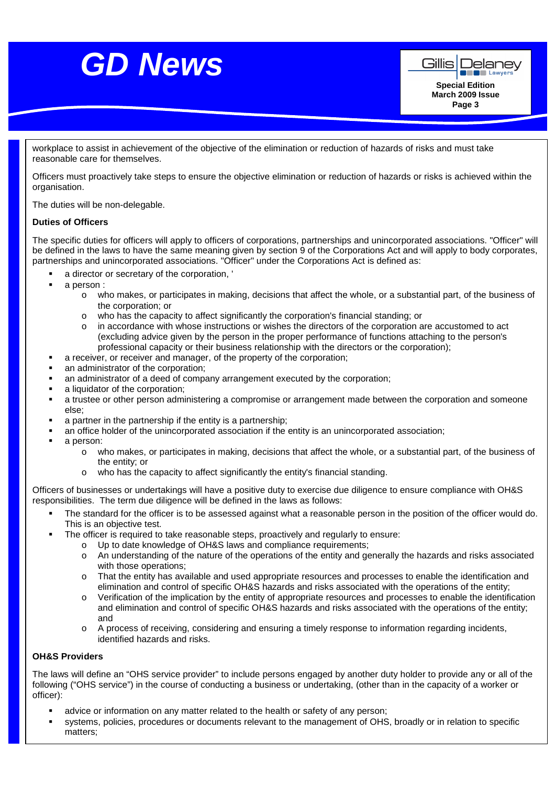

workplace to assist in achievement of the objective of the elimination or reduction of hazards of risks and must take<br>reasonable care for themselves reasonable care for themselves.

Officers must proactively take steps to ensure the objective elimination or reduction of hazards or risks is achieved within the organisation.

The duties will be non-delegable.

#### **Duties of Officers**

The specific duties for officers will apply to officers of corporations, partnerships and unincorporated associations. "Officer" will be defined in the laws to have the same meaning given by section 9 of the Corporations Act and will apply to body corporates, partnerships and unincorporated associations. "Officer" under the Corporations Act is defined as:

- a director or secretary of the corporation, '
- a person :
	- o who makes, or participates in making, decisions that affect the whole, or a substantial part, of the business of the corporation; or
	- o who has the capacity to affect significantly the corporation's financial standing; or
	- in accordance with whose instructions or wishes the directors of the corporation are accustomed to act (excluding advice given by the person in the proper performance of functions attaching to the person's professional capacity or their business relationship with the directors or the corporation);
- a receiver, or receiver and manager, of the property of the corporation;
- an administrator of the corporation;
- an administrator of a deed of company arrangement executed by the corporation;
- a liquidator of the corporation;
- a trustee or other person administering a compromise or arrangement made between the corporation and someone else;
- a partner in the partnership if the entity is a partnership;
- an office holder of the unincorporated association if the entity is an unincorporated association;
- **a** person:
	- o who makes, or participates in making, decisions that affect the whole, or a substantial part, of the business of the entity; or
	- o who has the capacity to affect significantly the entity's financial standing.

Officers of businesses or undertakings will have a positive duty to exercise due diligence to ensure compliance with OH&S responsibilities. The term due diligence will be defined in the laws as follows:

- The standard for the officer is to be assessed against what a reasonable person in the position of the officer would do. This is an objective test.
- The officer is required to take reasonable steps, proactively and regularly to ensure:
	- o Up to date knowledge of OH&S laws and compliance requirements;
	- o An understanding of the nature of the operations of the entity and generally the hazards and risks associated with those operations;
	- o That the entity has available and used appropriate resources and processes to enable the identification and elimination and control of specific OH&S hazards and risks associated with the operations of the entity;
	- o Verification of the implication by the entity of appropriate resources and processes to enable the identification and elimination and control of specific OH&S hazards and risks associated with the operations of the entity; and
	- o A process of receiving, considering and ensuring a timely response to information regarding incidents, identified hazards and risks.

#### **OH&S Providers**

The laws will define an "OHS service provider" to include persons engaged by another duty holder to provide any or all of the following ("OHS service") in the course of conducting a business or undertaking, (other than in the capacity of a worker or officer):

- advice or information on any matter related to the health or safety of any person;
- systems, policies, procedures or documents relevant to the management of OHS, broadly or in relation to specific matters;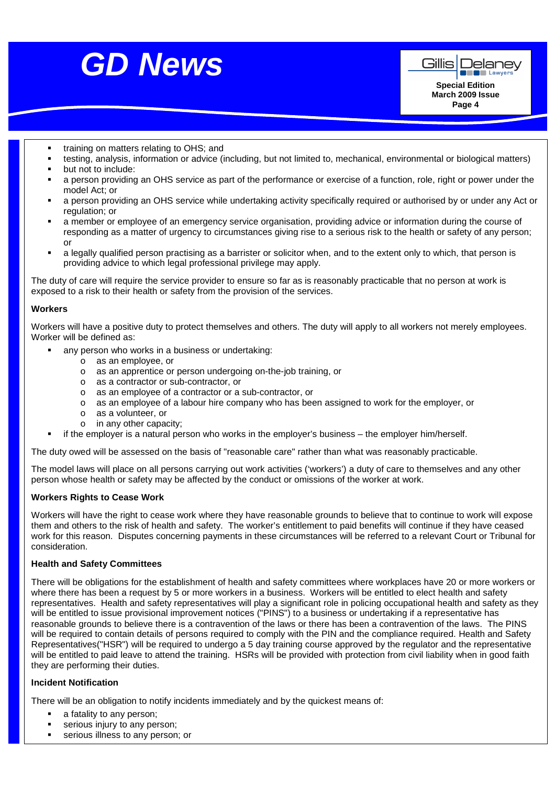

<u>g News Andrew State</u>



**Page 4**

- training on matters relating to OHS; and
- testing, analysis, information or advice (including, but not limited to, mechanical, environmental or biological matters) but not to include:
- a person providing an OHS service as part of the performance or exercise of a function, role, right or power under the model Act; or
- a person providing an OHS service while undertaking activity specifically required or authorised by or under any Act or regulation; or
- a member or employee of an emergency service organisation, providing advice or information during the course of responding as a matter of urgency to circumstances giving rise to a serious risk to the health or safety of any person; or
- a legally qualified person practising as a barrister or solicitor when, and to the extent only to which, that person is providing advice to which legal professional privilege may apply.

The duty of care will require the service provider to ensure so far as is reasonably practicable that no person at work is exposed to a risk to their health or safety from the provision of the services.

#### **Workers**

Workers will have a positive duty to protect themselves and others. The duty will apply to all workers not merely employees. Worker will be defined as:

- any person who works in a business or undertaking:
	- o as an employee, or
	- o as an apprentice or person undergoing on-the-job training, or
	- o as a contractor or sub-contractor, or
	- o as an employee of a contractor or a sub-contractor, or
	- o as an employee of a labour hire company who has been assigned to work for the employer, or
	- o as a volunteer, or
	- o in any other capacity;
- if the employer is a natural person who works in the employer's business the employer him/herself.

The duty owed will be assessed on the basis of "reasonable care" rather than what was reasonably practicable.

The model laws will place on all persons carrying out work activities ('workers') a duty of care to themselves and any other person whose health or safety may be affected by the conduct or omissions of the worker at work.

#### **Workers Rights to Cease Work**

Workers will have the right to cease work where they have reasonable grounds to believe that to continue to work will expose them and others to the risk of health and safety. The worker's entitlement to paid benefits will continue if they have ceased work for this reason. Disputes concerning payments in these circumstances will be referred to a relevant Court or Tribunal for consideration.

#### **Health and Safety Committees**

There will be obligations for the establishment of health and safety committees where workplaces have 20 or more workers or where there has been a request by 5 or more workers in a business. Workers will be entitled to elect health and safety representatives. Health and safety representatives will play a significant role in policing occupational health and safety as they will be entitled to issue provisional improvement notices ("PINS") to a business or undertaking if a representative has reasonable grounds to believe there is a contravention of the laws or there has been a contravention of the laws. The PINS will be required to contain details of persons required to comply with the PIN and the compliance required. Health and Safety Representatives("HSR") will be required to undergo a 5 day training course approved by the regulator and the representative will be entitled to paid leave to attend the training. HSRs will be provided with protection from civil liability when in good faith they are performing their duties.

#### **Incident Notification**

There will be an obligation to notify incidents immediately and by the quickest means of:

- a fatality to any person;
- **serious injury to any person;**
- **serious illness to any person; or**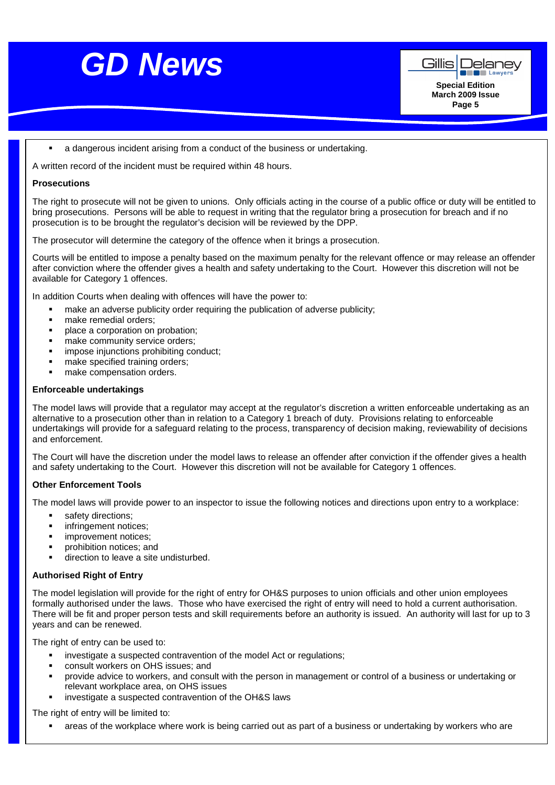

a dangerous incident arising from a conduct of the business or undertaking.

A written record of the incident must be required within 48 hours.

#### **Prosecutions**

The right to prosecute will not be given to unions. Only officials acting in the course of a public office or duty will be entitled to bring prosecutions. Persons will be able to request in writing that the regulator bring a prosecution for breach and if no prosecution is to be brought the regulator's decision will be reviewed by the DPP.

**IQUAY Solutions** The prosecutor will determine the category of the offence when it brings a prosecution.

**Level 6,**  Courts will be entitled to impose a penalty based on the maximum penalty for the relevant offence or may release an offender after conviction where the offender gives a health and safety undertaking to the Court. However this discretion will not be available for Category 1 offences.

In addition Courts when dealing with offences will have the power to:

- T +61 2 9394 1194  $\mathbf{y},$ make an adverse publicity order requiring the publication of adverse publicity;
- make remedial orders;
- place a corporation on probation;
- make community service orders;
- impose injunctions prohibiting conduct;
- make specified training orders;
- make compensation orders.

#### **Enforceable undertakings**

The model laws will provide that a regulator may accept at the regulator's discretion a written enforceable undertaking as an alternative to a prosecution other than in relation to a Category 1 breach of duty. Provisions relating to enforceable undertakings will provide for a safeguard relating to the process, transparency of decision making, reviewability of decisions and enforcement.

The Court will have the discretion under the model laws to release an offender after conviction if the offender gives a health and safety undertaking to the Court. However this discretion will not be available for Category 1 offences.

#### **Other Enforcement Tools**

The model laws will provide power to an inspector to issue the following notices and directions upon entry to a workplace:

- safety directions;
- infringement notices;
- improvement notices;
- prohibition notices; and
- direction to leave a site undisturbed.

#### **Authorised Right of Entry**

The model legislation will provide for the right of entry for OH&S purposes to union officials and other union employees formally authorised under the laws. Those who have exercised the right of entry will need to hold a current authorisation. There will be fit and proper person tests and skill requirements before an authority is issued. An authority will last for up to 3 years and can be renewed.

The right of entry can be used to:

- investigate a suspected contravention of the model Act or regulations;
- consult workers on OHS issues; and
- provide advice to workers, and consult with the person in management or control of a business or undertaking or relevant workplace area, on OHS issues
- investigate a suspected contravention of the OH&S laws

The right of entry will be limited to:

areas of the workplace where work is being carried out as part of a business or undertaking by workers who are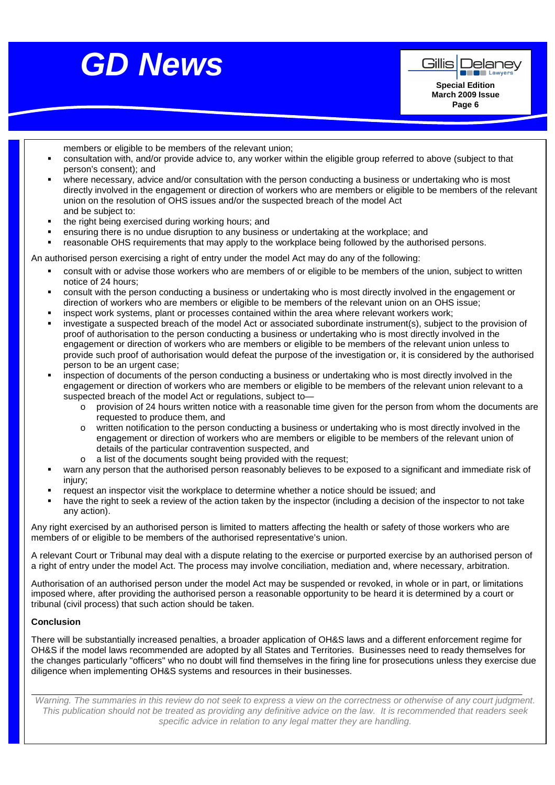

Gillis Delanev **EXECUTED** Lawye **Special Edition** 

> **March 2009 Issue Page 6**

members or eligible to be members of the relevant union;

- consultation with, and/or provide advice to, any worker within the eligible group referred to above (subject to that person's consent); and
- where necessary, advice and/or consultation with the person conducting a business or undertaking who is most directly involved in the engagement or direction of workers who are members or eligible to be members of the relevant union on the resolution of OHS issues and/or the suspected breach of the model Act and be subject to:
- the right being exercised during working hours; and
- ensuring there is no undue disruption to any business or undertaking at the workplace; and
- reasonable OHS requirements that may apply to the workplace being followed by the authorised persons.

An authorised person exercising a right of entry under the model Act may do any of the following:

- consult with or advise those workers who are members of or eligible to be members of the union, subject to written notice of 24 hours;
- consult with the person conducting a business or undertaking who is most directly involved in the engagement or direction of workers who are members or eligible to be members of the relevant union on an OHS issue;
- inspect work systems, plant or processes contained within the area where relevant workers work;
- investigate a suspected breach of the model Act or associated subordinate instrument(s), subject to the provision of proof of authorisation to the person conducting a business or undertaking who is most directly involved in the engagement or direction of workers who are members or eligible to be members of the relevant union unless to provide such proof of authorisation would defeat the purpose of the investigation or, it is considered by the authorised person to be an urgent case;
- inspection of documents of the person conducting a business or undertaking who is most directly involved in the engagement or direction of workers who are members or eligible to be members of the relevant union relevant to a suspected breach of the model Act or regulations, subject to
	- o provision of 24 hours written notice with a reasonable time given for the person from whom the documents are requested to produce them, and
	- o written notification to the person conducting a business or undertaking who is most directly involved in the engagement or direction of workers who are members or eligible to be members of the relevant union of details of the particular contravention suspected, and
	- o a list of the documents sought being provided with the request;
- warn any person that the authorised person reasonably believes to be exposed to a significant and immediate risk of injury;
- request an inspector visit the workplace to determine whether a notice should be issued; and
- have the right to seek a review of the action taken by the inspector (including a decision of the inspector to not take any action).

Any right exercised by an authorised person is limited to matters affecting the health or safety of those workers who are members of or eligible to be members of the authorised representative's union.

A relevant Court or Tribunal may deal with a dispute relating to the exercise or purported exercise by an authorised person of a right of entry under the model Act. The process may involve conciliation, mediation and, where necessary, arbitration.

Authorisation of an authorised person under the model Act may be suspended or revoked, in whole or in part, or limitations imposed where, after providing the authorised person a reasonable opportunity to be heard it is determined by a court or tribunal (civil process) that such action should be taken.

#### **Conclusion**

There will be substantially increased penalties, a broader application of OH&S laws and a different enforcement regime for OH&S if the model laws recommended are adopted by all States and Territories. Businesses need to ready themselves for the changes particularly "officers" who no doubt will find themselves in the firing line for prosecutions unless they exercise due diligence when implementing OH&S systems and resources in their businesses.

Warning. The summaries in this review do not seek to express a view on the correctness or otherwise of any court judgment. This publication should not be treated as providing any definitive advice on the law. It is recommended that readers seek specific advice in relation to any legal matter they are handling.